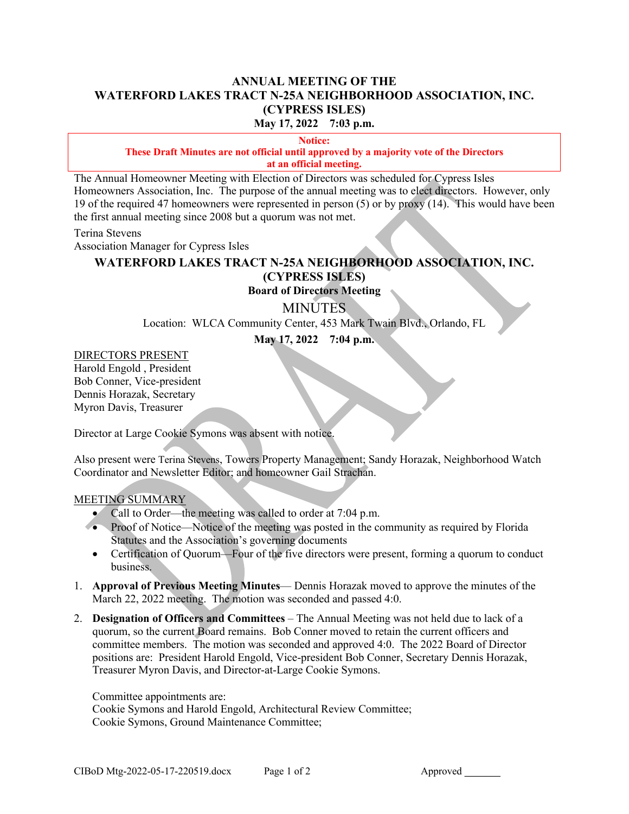### **ANNUAL MEETING OF THE WATERFORD LAKES TRACT N-25A NEIGHBORHOOD ASSOCIATION, INC. (CYPRESS ISLES) May 17, 2022 7:03 p.m.**

**Notice:** 

#### **These Draft Minutes are not official until approved by a majority vote of the Directors at an official meeting.**

The Annual Homeowner Meeting with Election of Directors was scheduled for Cypress Isles Homeowners Association, Inc. The purpose of the annual meeting was to elect directors. However, only 19 of the required 47 homeowners were represented in person (5) or by proxy (14). This would have been the first annual meeting since 2008 but a quorum was not met.

Terina Stevens

Association Manager for Cypress Isles

# **WATERFORD LAKES TRACT N-25A NEIGHBORHOOD ASSOCIATION, INC. (CYPRESS ISLES)**

## **Board of Directors Meeting**

### **MINUTES**

Location: WLCA Community Center, 453 Mark Twain Blvd., Orlando, FL

**May 17, 2022 7:04 p.m.**

### DIRECTORS PRESENT

Harold Engold , President Bob Conner, Vice-president Dennis Horazak, Secretary Myron Davis, Treasurer

Director at Large Cookie Symons was absent with notice.

Also present were Terina Stevens, Towers Property Management; Sandy Horazak, Neighborhood Watch Coordinator and Newsletter Editor; and homeowner Gail Strachan.

#### MEETING SUMMARY

- Call to Order—the meeting was called to order at 7:04 p.m.
- Proof of Notice—Notice of the meeting was posted in the community as required by Florida Statutes and the Association's governing documents
- Certification of Quorum—Four of the five directors were present, forming a quorum to conduct business.
- 1. **Approval of Previous Meeting Minutes** Dennis Horazak moved to approve the minutes of the March 22, 2022 meeting. The motion was seconded and passed 4:0.
- 2. **Designation of Officers and Committees** The Annual Meeting was not held due to lack of a quorum, so the current Board remains. Bob Conner moved to retain the current officers and committee members. The motion was seconded and approved 4:0. The 2022 Board of Director positions are: President Harold Engold, Vice-president Bob Conner, Secretary Dennis Horazak, Treasurer Myron Davis, and Director-at-Large Cookie Symons.

Committee appointments are:

Cookie Symons and Harold Engold, Architectural Review Committee; Cookie Symons, Ground Maintenance Committee;